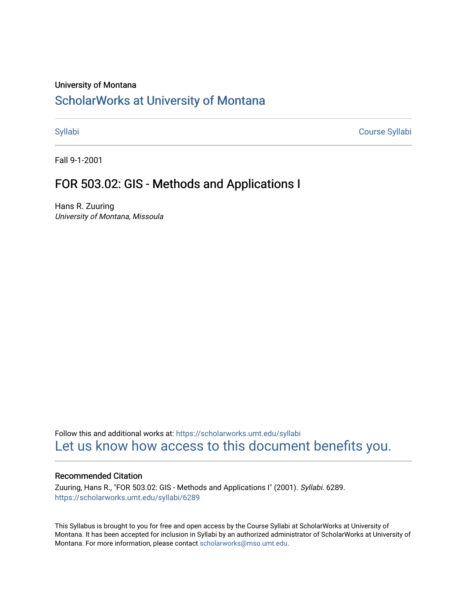#### University of Montana

# [ScholarWorks at University of Montana](https://scholarworks.umt.edu/)

[Syllabi](https://scholarworks.umt.edu/syllabi) [Course Syllabi](https://scholarworks.umt.edu/course_syllabi) 

Fall 9-1-2001

## FOR 503.02: GIS - Methods and Applications I

Hans R. Zuuring University of Montana, Missoula

Follow this and additional works at: [https://scholarworks.umt.edu/syllabi](https://scholarworks.umt.edu/syllabi?utm_source=scholarworks.umt.edu%2Fsyllabi%2F6289&utm_medium=PDF&utm_campaign=PDFCoverPages)  [Let us know how access to this document benefits you.](https://goo.gl/forms/s2rGfXOLzz71qgsB2) 

#### Recommended Citation

Zuuring, Hans R., "FOR 503.02: GIS - Methods and Applications I" (2001). Syllabi. 6289. [https://scholarworks.umt.edu/syllabi/6289](https://scholarworks.umt.edu/syllabi/6289?utm_source=scholarworks.umt.edu%2Fsyllabi%2F6289&utm_medium=PDF&utm_campaign=PDFCoverPages)

This Syllabus is brought to you for free and open access by the Course Syllabi at ScholarWorks at University of Montana. It has been accepted for inclusion in Syllabi by an authorized administrator of ScholarWorks at University of Montana. For more information, please contact [scholarworks@mso.umt.edu.](mailto:scholarworks@mso.umt.edu)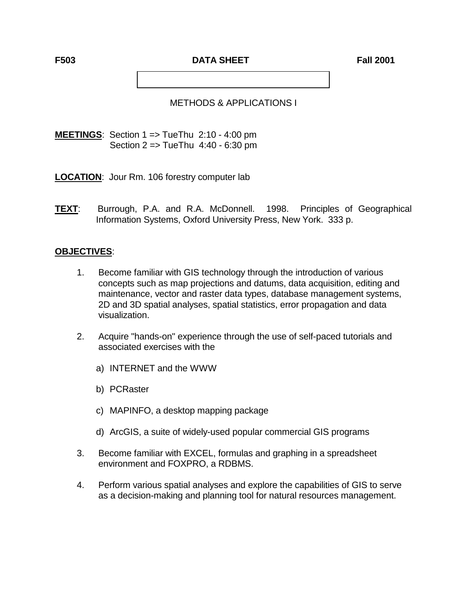**F503 DATA SHEET Eall 2001** 

## METHODS & APPLICATIONS I

**MEETINGS**: Section 1 => TueThu 2:10 - 4:00 pm Section 2 => TueThu 4:40 - 6:30 pm

**LOCATION**: Jour Rm. 106 forestry computer lab

**TEXT**: Burrough, P.A. and R.A. McDonnell. 1998. Principles of Geographical Information Systems, Oxford University Press, New York. 333 p.

## **OBJECTIVES**:

- 1. Become familiar with GIS technology through the introduction of various concepts such as map projections and datums, data acquisition, editing and maintenance, vector and raster data types, database management systems, 2D and 3D spatial analyses, spatial statistics, error propagation and data visualization.
- 2. Acquire "hands-on" experience through the use of self-paced tutorials and associated exercises with the
	- a) INTERNET and the WWW
	- b) PCRaster
	- c) MAPINFO, a desktop mapping package
	- d) ArcGIS, a suite of widely-used popular commercial GIS programs
- 3. Become familiar with EXCEL, formulas and graphing in a spreadsheet environment and FOXPRO, a RDBMS.
- 4. Perform various spatial analyses and explore the capabilities of GIS to serve as a decision-making and planning tool for natural resources management.